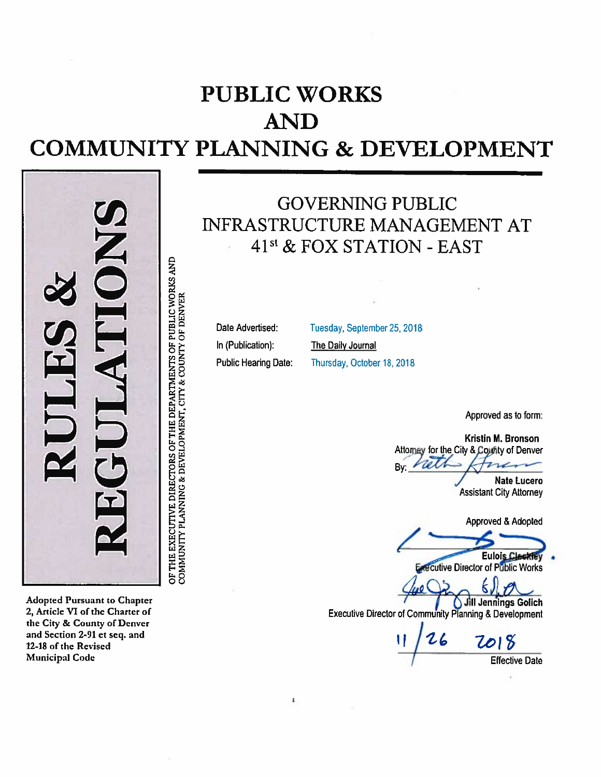# **PUBLIC WORKS AND COMMUNITY PLANNING & DEVELOPMENT**



**Adopted Pursuant to Chapter** 2, Article VI of the Charter of the City & County of Denver and Section 2-91 et seq. and 12-18 of the Revised **Municipal Code** 

**GOVERNING PUBLIC** INFRASTRUCTURE MANAGEMENT AT 41<sup>st</sup> & FOX STATION - EAST

Date Advertised: In (Publication): **Public Hearing Date:** 

 $\mathbf{1}$ 

Tuesday, September 25, 2018 The Daily Journal Thursday, October 18, 2018

Approved as to form:

Kristin M. Bronson Attorney for the City & County of Denver neth  $n$ Bv:

> **Nate Lucero Assistant City Attorney**

Approved & Adopted

**Eulois Cleckfey Executive Director of Public Works** 

κ.

Jill Jennings Golich Executive Director of Community Planning & Development

 $26$ 7018 **Effective Date**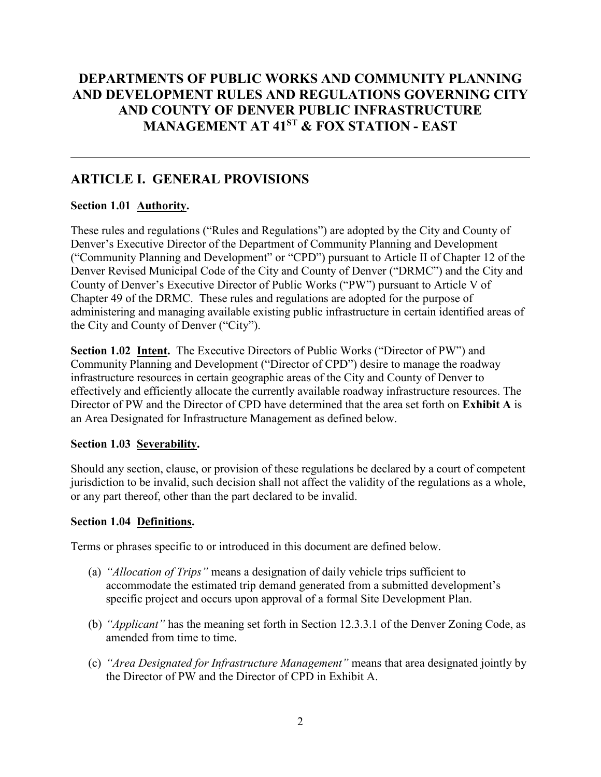## **DEPARTMENTS OF PUBLIC WORKS AND COMMUNITY PLANNING AND DEVELOPMENT RULES AND REGULATIONS GOVERNING CITY AND COUNTY OF DENVER PUBLIC INFRASTRUCTURE MANAGEMENT AT 41ST & FOX STATION - EAST**

## **ARTICLE I. GENERAL PROVISIONS**

## **Section 1.01 Authority.**

These rules and regulations ("Rules and Regulations") are adopted by the City and County of Denver's Executive Director of the Department of Community Planning and Development ("Community Planning and Development" or "CPD") pursuant to Article II of Chapter 12 of the Denver Revised Municipal Code of the City and County of Denver ("DRMC") and the City and County of Denver's Executive Director of Public Works ("PW") pursuant to Article V of Chapter 49 of the DRMC. These rules and regulations are adopted for the purpose of administering and managing available existing public infrastructure in certain identified areas of the City and County of Denver ("City").

**Section 1.02 Intent.** The Executive Directors of Public Works ("Director of PW") and Community Planning and Development ("Director of CPD") desire to manage the roadway infrastructure resources in certain geographic areas of the City and County of Denver to effectively and efficiently allocate the currently available roadway infrastructure resources. The Director of PW and the Director of CPD have determined that the area set forth on **Exhibit A** is an Area Designated for Infrastructure Management as defined below.

## **Section 1.03 Severability.**

Should any section, clause, or provision of these regulations be declared by a court of competent jurisdiction to be invalid, such decision shall not affect the validity of the regulations as a whole, or any part thereof, other than the part declared to be invalid.

## **Section 1.04 Definitions.**

Terms or phrases specific to or introduced in this document are defined below.

- (a) *"Allocation of Trips"* means a designation of daily vehicle trips sufficient to accommodate the estimated trip demand generated from a submitted development's specific project and occurs upon approval of a formal Site Development Plan.
- (b) *"Applicant"* has the meaning set forth in Section 12.3.3.1 of the Denver Zoning Code, as amended from time to time.
- (c) *"Area Designated for Infrastructure Management"* means that area designated jointly by the Director of PW and the Director of CPD in Exhibit A.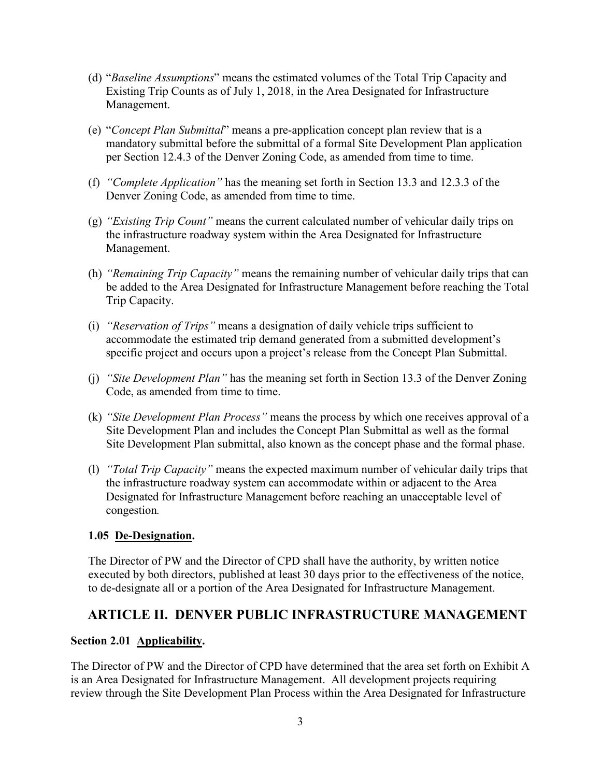- (d) "*Baseline Assumptions*" means the estimated volumes of the Total Trip Capacity and Existing Trip Counts as of July 1, 2018, in the Area Designated for Infrastructure Management.
- (e) "*Concept Plan Submittal*" means a pre-application concept plan review that is a mandatory submittal before the submittal of a formal Site Development Plan application per Section 12.4.3 of the Denver Zoning Code, as amended from time to time.
- (f) *"Complete Application"* has the meaning set forth in Section 13.3 and 12.3.3 of the Denver Zoning Code, as amended from time to time.
- (g) *"Existing Trip Count"* means the current calculated number of vehicular daily trips on the infrastructure roadway system within the Area Designated for Infrastructure Management.
- (h) *"Remaining Trip Capacity"* means the remaining number of vehicular daily trips that can be added to the Area Designated for Infrastructure Management before reaching the Total Trip Capacity.
- (i) *"Reservation of Trips"* means a designation of daily vehicle trips sufficient to accommodate the estimated trip demand generated from a submitted development's specific project and occurs upon a project's release from the Concept Plan Submittal.
- (j) *"Site Development Plan"* has the meaning set forth in Section 13.3 of the Denver Zoning Code, as amended from time to time.
- (k) *"Site Development Plan Process"* means the process by which one receives approval of a Site Development Plan and includes the Concept Plan Submittal as well as the formal Site Development Plan submittal, also known as the concept phase and the formal phase.
- (l) *"Total Trip Capacity"* means the expected maximum number of vehicular daily trips that the infrastructure roadway system can accommodate within or adjacent to the Area Designated for Infrastructure Management before reaching an unacceptable level of congestion*.*

## **1.05 De-Designation.**

The Director of PW and the Director of CPD shall have the authority, by written notice executed by both directors, published at least 30 days prior to the effectiveness of the notice, to de-designate all or a portion of the Area Designated for Infrastructure Management.

## **ARTICLE II. DENVER PUBLIC INFRASTRUCTURE MANAGEMENT**

## **Section 2.01 Applicability.**

The Director of PW and the Director of CPD have determined that the area set forth on Exhibit A is an Area Designated for Infrastructure Management. All development projects requiring review through the Site Development Plan Process within the Area Designated for Infrastructure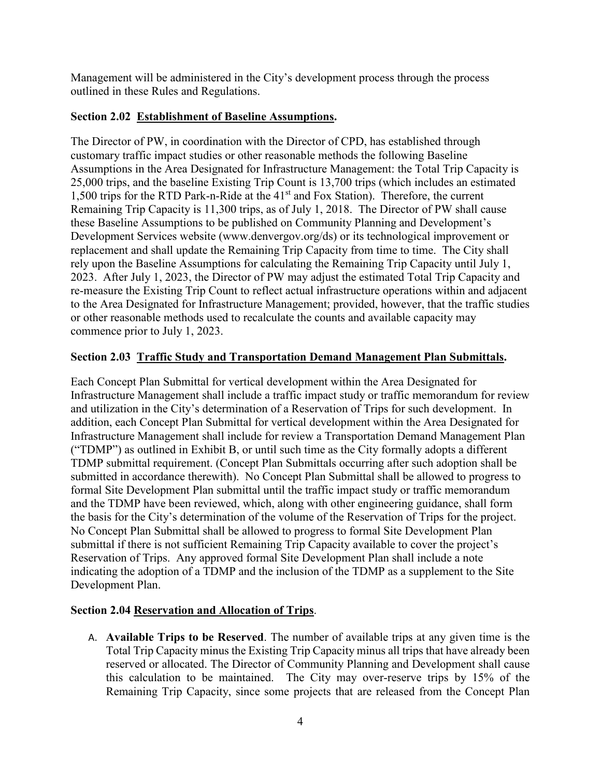Management will be administered in the City's development process through the process outlined in these Rules and Regulations.

## **Section 2.02 Establishment of Baseline Assumptions.**

The Director of PW, in coordination with the Director of CPD, has established through customary traffic impact studies or other reasonable methods the following Baseline Assumptions in the Area Designated for Infrastructure Management: the Total Trip Capacity is 25,000 trips, and the baseline Existing Trip Count is 13,700 trips (which includes an estimated 1,500 trips for the RTD Park-n-Ride at the  $41<sup>st</sup>$  and Fox Station). Therefore, the current Remaining Trip Capacity is 11,300 trips, as of July 1, 2018. The Director of PW shall cause these Baseline Assumptions to be published on Community Planning and Development's Development Services website (www.denvergov.org/ds) or its technological improvement or replacement and shall update the Remaining Trip Capacity from time to time. The City shall rely upon the Baseline Assumptions for calculating the Remaining Trip Capacity until July 1, 2023. After July 1, 2023, the Director of PW may adjust the estimated Total Trip Capacity and re-measure the Existing Trip Count to reflect actual infrastructure operations within and adjacent to the Area Designated for Infrastructure Management; provided, however, that the traffic studies or other reasonable methods used to recalculate the counts and available capacity may commence prior to July 1, 2023.

## **Section 2.03 Traffic Study and Transportation Demand Management Plan Submittals.**

Each Concept Plan Submittal for vertical development within the Area Designated for Infrastructure Management shall include a traffic impact study or traffic memorandum for review and utilization in the City's determination of a Reservation of Trips for such development. In addition, each Concept Plan Submittal for vertical development within the Area Designated for Infrastructure Management shall include for review a Transportation Demand Management Plan ("TDMP") as outlined in Exhibit B, or until such time as the City formally adopts a different TDMP submittal requirement. (Concept Plan Submittals occurring after such adoption shall be submitted in accordance therewith). No Concept Plan Submittal shall be allowed to progress to formal Site Development Plan submittal until the traffic impact study or traffic memorandum and the TDMP have been reviewed, which, along with other engineering guidance, shall form the basis for the City's determination of the volume of the Reservation of Trips for the project. No Concept Plan Submittal shall be allowed to progress to formal Site Development Plan submittal if there is not sufficient Remaining Trip Capacity available to cover the project's Reservation of Trips. Any approved formal Site Development Plan shall include a note indicating the adoption of a TDMP and the inclusion of the TDMP as a supplement to the Site Development Plan.

## **Section 2.04 Reservation and Allocation of Trips**.

A. **Available Trips to be Reserved**. The number of available trips at any given time is the Total Trip Capacity minus the Existing Trip Capacity minus all trips that have already been reserved or allocated. The Director of Community Planning and Development shall cause this calculation to be maintained. The City may over-reserve trips by 15% of the Remaining Trip Capacity, since some projects that are released from the Concept Plan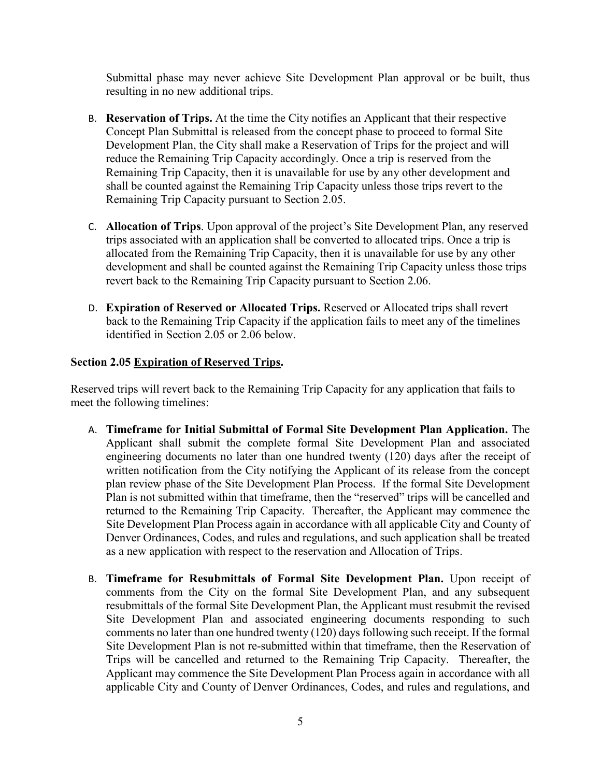Submittal phase may never achieve Site Development Plan approval or be built, thus resulting in no new additional trips.

- B. **Reservation of Trips.** At the time the City notifies an Applicant that their respective Concept Plan Submittal is released from the concept phase to proceed to formal Site Development Plan, the City shall make a Reservation of Trips for the project and will reduce the Remaining Trip Capacity accordingly. Once a trip is reserved from the Remaining Trip Capacity, then it is unavailable for use by any other development and shall be counted against the Remaining Trip Capacity unless those trips revert to the Remaining Trip Capacity pursuant to Section 2.05.
- C. **Allocation of Trips**. Upon approval of the project's Site Development Plan, any reserved trips associated with an application shall be converted to allocated trips. Once a trip is allocated from the Remaining Trip Capacity, then it is unavailable for use by any other development and shall be counted against the Remaining Trip Capacity unless those trips revert back to the Remaining Trip Capacity pursuant to Section 2.06.
- D. **Expiration of Reserved or Allocated Trips.** Reserved or Allocated trips shall revert back to the Remaining Trip Capacity if the application fails to meet any of the timelines identified in Section 2.05 or 2.06 below.

### **Section 2.05 Expiration of Reserved Trips.**

Reserved trips will revert back to the Remaining Trip Capacity for any application that fails to meet the following timelines:

- A. **Timeframe for Initial Submittal of Formal Site Development Plan Application.** The Applicant shall submit the complete formal Site Development Plan and associated engineering documents no later than one hundred twenty (120) days after the receipt of written notification from the City notifying the Applicant of its release from the concept plan review phase of the Site Development Plan Process. If the formal Site Development Plan is not submitted within that timeframe, then the "reserved" trips will be cancelled and returned to the Remaining Trip Capacity. Thereafter, the Applicant may commence the Site Development Plan Process again in accordance with all applicable City and County of Denver Ordinances, Codes, and rules and regulations, and such application shall be treated as a new application with respect to the reservation and Allocation of Trips.
- B. **Timeframe for Resubmittals of Formal Site Development Plan.** Upon receipt of comments from the City on the formal Site Development Plan, and any subsequent resubmittals of the formal Site Development Plan, the Applicant must resubmit the revised Site Development Plan and associated engineering documents responding to such comments no later than one hundred twenty (120) days following such receipt. If the formal Site Development Plan is not re-submitted within that timeframe, then the Reservation of Trips will be cancelled and returned to the Remaining Trip Capacity. Thereafter, the Applicant may commence the Site Development Plan Process again in accordance with all applicable City and County of Denver Ordinances, Codes, and rules and regulations, and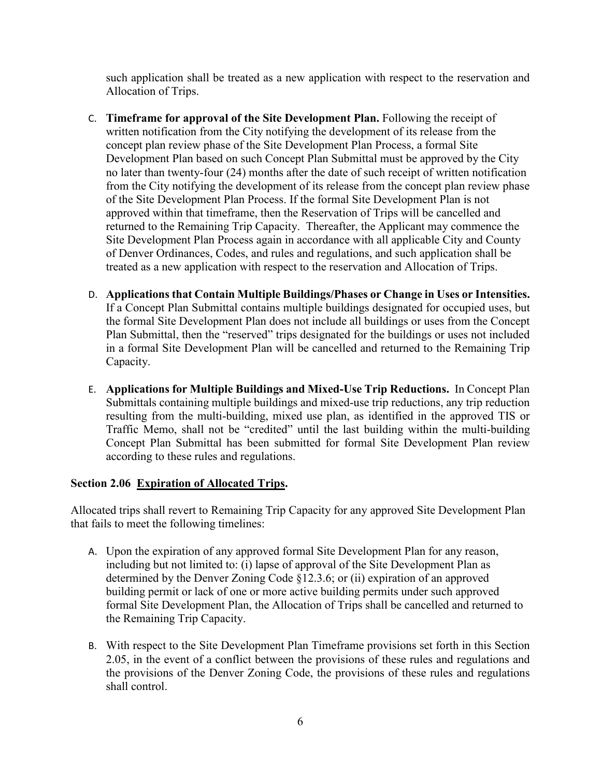such application shall be treated as a new application with respect to the reservation and Allocation of Trips.

- C. **Timeframe for approval of the Site Development Plan.** Following the receipt of written notification from the City notifying the development of its release from the concept plan review phase of the Site Development Plan Process, a formal Site Development Plan based on such Concept Plan Submittal must be approved by the City no later than twenty-four (24) months after the date of such receipt of written notification from the City notifying the development of its release from the concept plan review phase of the Site Development Plan Process. If the formal Site Development Plan is not approved within that timeframe, then the Reservation of Trips will be cancelled and returned to the Remaining Trip Capacity. Thereafter, the Applicant may commence the Site Development Plan Process again in accordance with all applicable City and County of Denver Ordinances, Codes, and rules and regulations, and such application shall be treated as a new application with respect to the reservation and Allocation of Trips.
- D. **Applications that Contain Multiple Buildings/Phases or Change in Uses or Intensities.**  If a Concept Plan Submittal contains multiple buildings designated for occupied uses, but the formal Site Development Plan does not include all buildings or uses from the Concept Plan Submittal, then the "reserved" trips designated for the buildings or uses not included in a formal Site Development Plan will be cancelled and returned to the Remaining Trip Capacity.
- E. **Applications for Multiple Buildings and Mixed-Use Trip Reductions.** In Concept Plan Submittals containing multiple buildings and mixed-use trip reductions, any trip reduction resulting from the multi-building, mixed use plan, as identified in the approved TIS or Traffic Memo, shall not be "credited" until the last building within the multi-building Concept Plan Submittal has been submitted for formal Site Development Plan review according to these rules and regulations.

## **Section 2.06 Expiration of Allocated Trips.**

Allocated trips shall revert to Remaining Trip Capacity for any approved Site Development Plan that fails to meet the following timelines:

- A. Upon the expiration of any approved formal Site Development Plan for any reason, including but not limited to: (i) lapse of approval of the Site Development Plan as determined by the Denver Zoning Code §12.3.6; or (ii) expiration of an approved building permit or lack of one or more active building permits under such approved formal Site Development Plan, the Allocation of Trips shall be cancelled and returned to the Remaining Trip Capacity.
- B. With respect to the Site Development Plan Timeframe provisions set forth in this Section 2.05, in the event of a conflict between the provisions of these rules and regulations and the provisions of the Denver Zoning Code, the provisions of these rules and regulations shall control.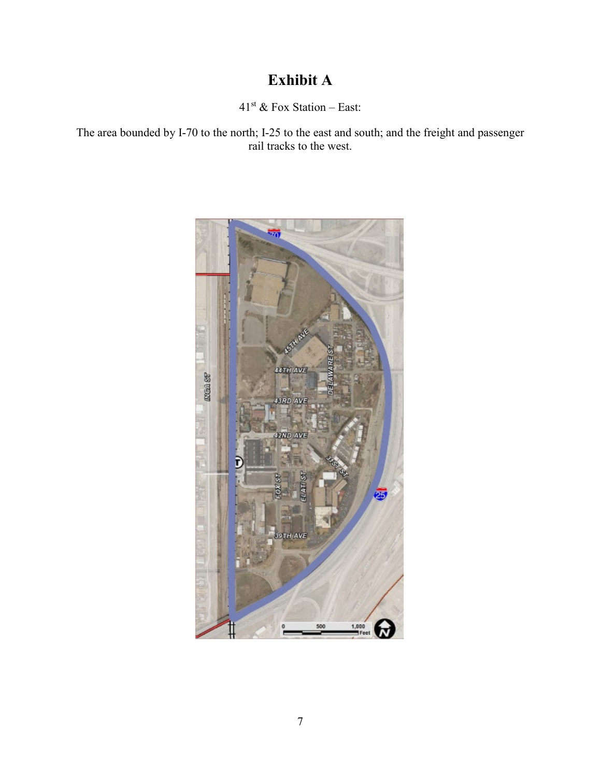## **Exhibit A**

 $41<sup>st</sup>$  & Fox Station – East:

The area bounded by I-70 to the north; I-25 to the east and south; and the freight and passenger rail tracks to the west.

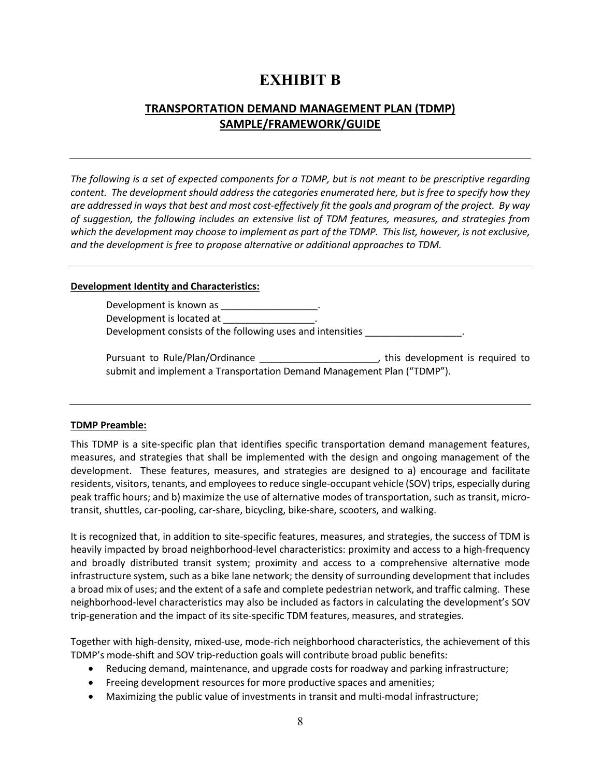## **EXHIBIT B**

## **TRANSPORTATION DEMAND MANAGEMENT PLAN (TDMP) SAMPLE/FRAMEWORK/GUIDE**

*The following is a set of expected components for a TDMP, but is not meant to be prescriptive regarding content. The development should address the categories enumerated here, but is free to specify how they are addressed in ways that best and most cost-effectively fit the goals and program of the project. By way of suggestion, the following includes an extensive list of TDM features, measures, and strategies from which the development may choose to implement as part of the TDMP. This list, however, is not exclusive, and the development is free to propose alternative or additional approaches to TDM.*

#### **Development Identity and Characteristics:**

Development is known as \_\_\_\_\_\_\_ Development is located at Development consists of the following uses and intensities

Pursuant to Rule/Plan/Ordinance \_\_\_\_\_\_\_\_\_\_\_\_\_\_\_\_\_\_\_\_\_\_\_\_\_\_\_\_\_\_\_\_\_\_\_, this development is required to submit and implement a Transportation Demand Management Plan ("TDMP").

### **TDMP Preamble:**

This TDMP is a site-specific plan that identifies specific transportation demand management features, measures, and strategies that shall be implemented with the design and ongoing management of the development. These features, measures, and strategies are designed to a) encourage and facilitate residents, visitors, tenants, and employees to reduce single-occupant vehicle (SOV) trips, especially during peak traffic hours; and b) maximize the use of alternative modes of transportation, such as transit, microtransit, shuttles, car-pooling, car-share, bicycling, bike-share, scooters, and walking.

It is recognized that, in addition to site-specific features, measures, and strategies, the success of TDM is heavily impacted by broad neighborhood-level characteristics: proximity and access to a high-frequency and broadly distributed transit system; proximity and access to a comprehensive alternative mode infrastructure system, such as a bike lane network; the density of surrounding development that includes a broad mix of uses; and the extent of a safe and complete pedestrian network, and traffic calming. These neighborhood-level characteristics may also be included as factors in calculating the development's SOV trip-generation and the impact of its site-specific TDM features, measures, and strategies.

Together with high-density, mixed-use, mode-rich neighborhood characteristics, the achievement of this TDMP's mode-shift and SOV trip-reduction goals will contribute broad public benefits:

- Reducing demand, maintenance, and upgrade costs for roadway and parking infrastructure;
- Freeing development resources for more productive spaces and amenities;
- Maximizing the public value of investments in transit and multi-modal infrastructure;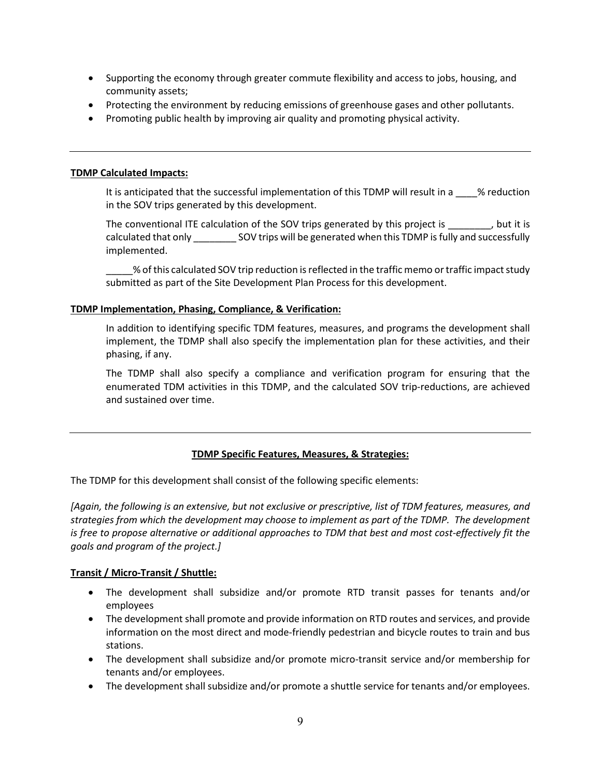- Supporting the economy through greater commute flexibility and access to jobs, housing, and community assets;
- Protecting the environment by reducing emissions of greenhouse gases and other pollutants.
- Promoting public health by improving air quality and promoting physical activity.

### **TDMP Calculated Impacts:**

It is anticipated that the successful implementation of this TDMP will result in a wase of eduction in the SOV trips generated by this development.

The conventional ITE calculation of the SOV trips generated by this project is  $\frac{1}{10}$ , but it is calculated that only \_\_\_\_\_\_\_\_ SOV trips will be generated when this TDMP is fully and successfully implemented.

\_\_\_\_\_% of this calculated SOV trip reduction is reflected in the traffic memo or traffic impact study submitted as part of the Site Development Plan Process for this development.

#### **TDMP Implementation, Phasing, Compliance, & Verification:**

In addition to identifying specific TDM features, measures, and programs the development shall implement, the TDMP shall also specify the implementation plan for these activities, and their phasing, if any.

The TDMP shall also specify a compliance and verification program for ensuring that the enumerated TDM activities in this TDMP, and the calculated SOV trip-reductions, are achieved and sustained over time.

### **TDMP Specific Features, Measures, & Strategies:**

The TDMP for this development shall consist of the following specific elements:

*[Again, the following is an extensive, but not exclusive or prescriptive, list of TDM features, measures, and strategies from which the development may choose to implement as part of the TDMP. The development is free to propose alternative or additional approaches to TDM that best and most cost-effectively fit the goals and program of the project.]*

### **Transit / Micro-Transit / Shuttle:**

- The development shall subsidize and/or promote RTD transit passes for tenants and/or employees
- The development shall promote and provide information on RTD routes and services, and provide information on the most direct and mode-friendly pedestrian and bicycle routes to train and bus stations.
- The development shall subsidize and/or promote micro-transit service and/or membership for tenants and/or employees.
- The development shall subsidize and/or promote a shuttle service for tenants and/or employees.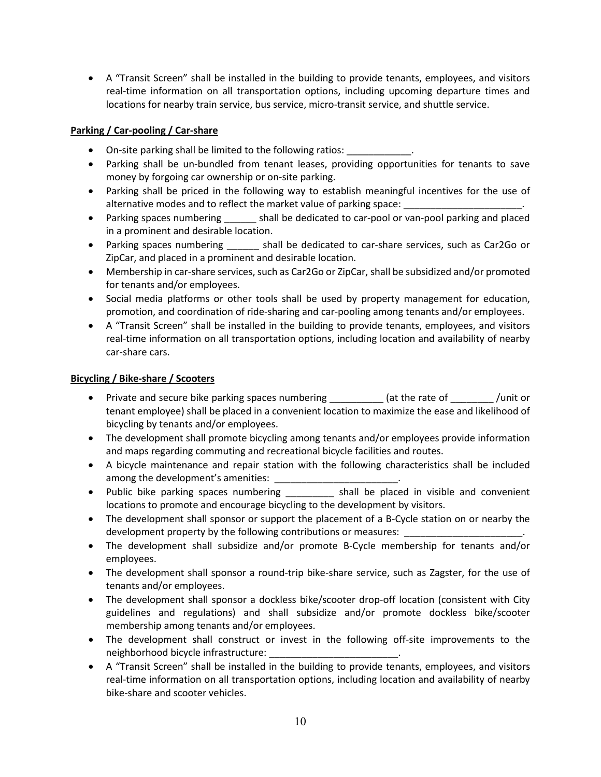• A "Transit Screen" shall be installed in the building to provide tenants, employees, and visitors real-time information on all transportation options, including upcoming departure times and locations for nearby train service, bus service, micro-transit service, and shuttle service.

### **Parking / Car-pooling / Car-share**

- On-site parking shall be limited to the following ratios:
- Parking shall be un-bundled from tenant leases, providing opportunities for tenants to save money by forgoing car ownership or on-site parking.
- Parking shall be priced in the following way to establish meaningful incentives for the use of alternative modes and to reflect the market value of parking space:
- Parking spaces numbering entirely shall be dedicated to car-pool or van-pool parking and placed in a prominent and desirable location.
- Parking spaces numbering shall be dedicated to car-share services, such as Car2Go or ZipCar, and placed in a prominent and desirable location.
- Membership in car-share services, such as Car2Go or ZipCar, shall be subsidized and/or promoted for tenants and/or employees.
- Social media platforms or other tools shall be used by property management for education, promotion, and coordination of ride-sharing and car-pooling among tenants and/or employees.
- A "Transit Screen" shall be installed in the building to provide tenants, employees, and visitors real-time information on all transportation options, including location and availability of nearby car-share cars.

### **Bicycling / Bike-share / Scooters**

- Private and secure bike parking spaces numbering  $\qquad \qquad$  (at the rate of  $\qquad \qquad$  /unit or tenant employee) shall be placed in a convenient location to maximize the ease and likelihood of bicycling by tenants and/or employees.
- The development shall promote bicycling among tenants and/or employees provide information and maps regarding commuting and recreational bicycle facilities and routes.
- A bicycle maintenance and repair station with the following characteristics shall be included among the development's amenities:  $\blacksquare$
- Public bike parking spaces numbering \_\_\_\_\_\_\_\_\_ shall be placed in visible and convenient locations to promote and encourage bicycling to the development by visitors.
- The development shall sponsor or support the placement of a B-Cycle station on or nearby the development property by the following contributions or measures: \_\_\_\_\_\_\_\_\_
- The development shall subsidize and/or promote B-Cycle membership for tenants and/or employees.
- The development shall sponsor a round-trip bike-share service, such as Zagster, for the use of tenants and/or employees.
- The development shall sponsor a dockless bike/scooter drop-off location (consistent with City guidelines and regulations) and shall subsidize and/or promote dockless bike/scooter membership among tenants and/or employees.
- The development shall construct or invest in the following off-site improvements to the neighborhood bicycle infrastructure:
- A "Transit Screen" shall be installed in the building to provide tenants, employees, and visitors real-time information on all transportation options, including location and availability of nearby bike-share and scooter vehicles.